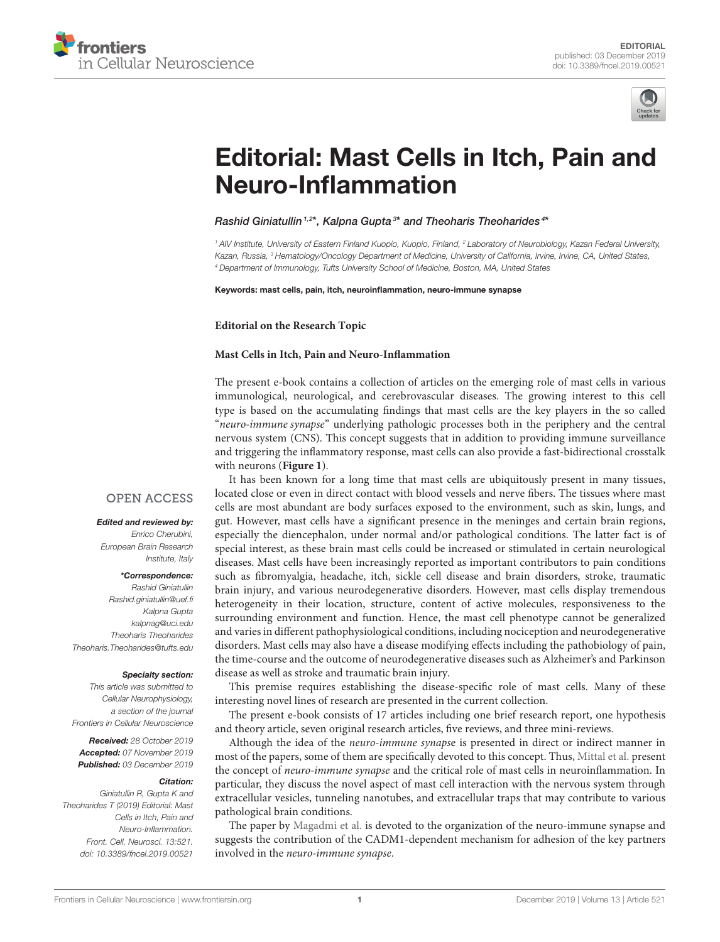



# [Editorial: Mast Cells in Itch, Pain and](https://www.frontiersin.org/articles/10.3389/fncel.2019.00521/full) Neuro-Inflammation

[Rashid Giniatullin](http://loop.frontiersin.org/people/28813/overview)<sup>1,2\*</sup>, [Kalpna Gupta](http://loop.frontiersin.org/people/561910/overview)<sup>3\*</sup> and [Theoharis Theoharides](http://loop.frontiersin.org/people/23129/overview)<sup>4\*</sup>

*<sup>1</sup> AIV Institute, University of Eastern Finland Kuopio, Kuopio, Finland, <sup>2</sup> Laboratory of Neurobiology, Kazan Federal University, Kazan, Russia, <sup>3</sup> Hematology/Oncology Department of Medicine, University of California, Irvine, Irvine, CA, United States, <sup>4</sup> Department of Immunology, Tufts University School of Medicine, Boston, MA, United States*

Keywords: mast cells, pain, itch, neuroinflammation, neuro-immune synapse

**Editorial on the Research Topic**

#### **[Mast Cells in Itch, Pain and Neuro-Inflammation](https://www.frontiersin.org/research-topics/8259/mast-cells-in-itch-pain-and-neuro-inflammation)**

The present e-book contains a collection of articles on the emerging role of mast cells in various immunological, neurological, and cerebrovascular diseases. The growing interest to this cell type is based on the accumulating findings that mast cells are the key players in the so called "neuro-immune synapse" underlying pathologic processes both in the periphery and the central nervous system (CNS). This concept suggests that in addition to providing immune surveillance and triggering the inflammatory response, mast cells can also provide a fast-bidirectional crosstalk with neurons (**[Figure 1](#page-1-0)**).

## **OPEN ACCESS**

#### Edited and reviewed by:

*Enrico Cherubini, European Brain Research Institute, Italy*

### \*Correspondence:

*Rashid Giniatullin [Rashid.giniatullin@uef.fi](mailto:Rashid.giniatullin@uef.fi) Kalpna Gupta [kalpnag@uci.edu](mailto:kalpnag@uci.edu) Theoharis Theoharides [Theoharis.Theoharides@tufts.edu](mailto:Theoharis.Theoharides@tufts.edu)*

#### Specialty section:

*This article was submitted to Cellular Neurophysiology, a section of the journal Frontiers in Cellular Neuroscience*

Received: *28 October 2019* Accepted: *07 November 2019* Published: *03 December 2019*

#### Citation:

*Giniatullin R, Gupta K and Theoharides T (2019) Editorial: Mast Cells in Itch, Pain and Neuro-Inflammation. Front. Cell. Neurosci. 13:521. doi: [10.3389/fncel.2019.00521](https://doi.org/10.3389/fncel.2019.00521)*

It has been known for a long time that mast cells are ubiquitously present in many tissues, located close or even in direct contact with blood vessels and nerve fibers. The tissues where mast cells are most abundant are body surfaces exposed to the environment, such as skin, lungs, and gut. However, mast cells have a significant presence in the meninges and certain brain regions, especially the diencephalon, under normal and/or pathological conditions. The latter fact is of special interest, as these brain mast cells could be increased or stimulated in certain neurological diseases. Mast cells have been increasingly reported as important contributors to pain conditions such as fibromyalgia, headache, itch, sickle cell disease and brain disorders, stroke, traumatic brain injury, and various neurodegenerative disorders. However, mast cells display tremendous heterogeneity in their location, structure, content of active molecules, responsiveness to the surrounding environment and function. Hence, the mast cell phenotype cannot be generalized and varies in different pathophysiological conditions, including nociception and neurodegenerative disorders. Mast cells may also have a disease modifying effects including the pathobiology of pain, the time-course and the outcome of neurodegenerative diseases such as Alzheimer's and Parkinson disease as well as stroke and traumatic brain injury.

This premise requires establishing the disease-specific role of mast cells. Many of these interesting novel lines of research are presented in the current collection.

The present e-book consists of 17 articles including one brief research report, one hypothesis and theory article, seven original research articles, five reviews, and three mini-reviews.

Although the idea of the neuro-immune synapse is presented in direct or indirect manner in most of the papers, some of them are specifically devoted to this concept. Thus, [Mittal et al.](https://doi.org/10.3389/fncel.2019.00110) present the concept of neuro-immune synapse and the critical role of mast cells in neuroinflammation. In particular, they discuss the novel aspect of mast cell interaction with the nervous system through extracellular vesicles, tunneling nanotubes, and extracellular traps that may contribute to various pathological brain conditions.

The paper by [Magadmi et al.](https://doi.org/10.3389/fncel.2019.00262) is devoted to the organization of the neuro-immune synapse and suggests the contribution of the CADM1-dependent mechanism for adhesion of the key partners involved in the neuro-immune synapse.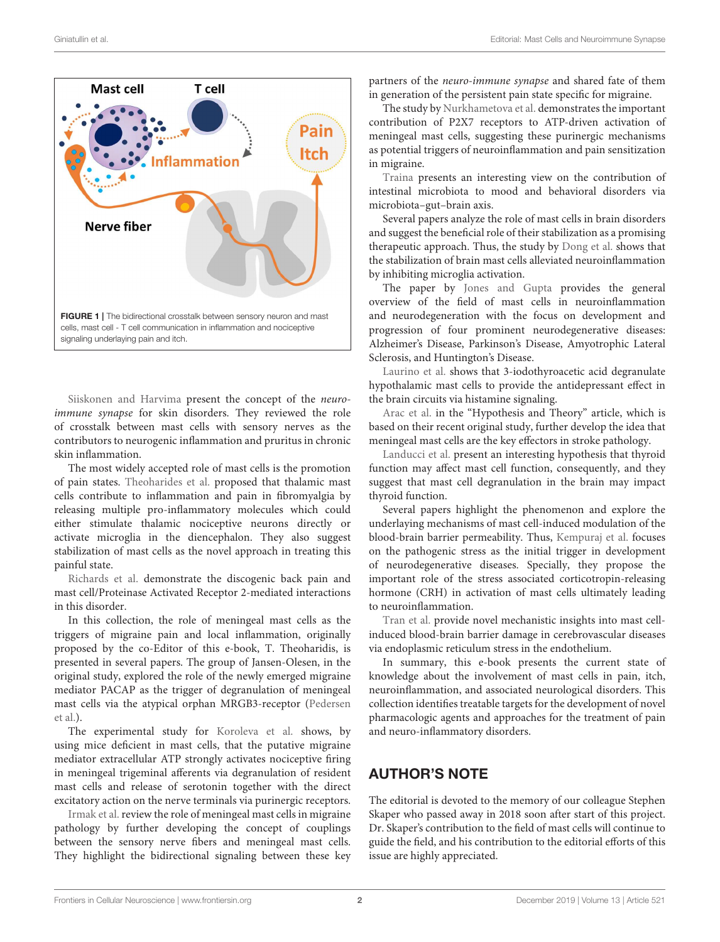

<span id="page-1-0"></span>[Siiskonen and Harvima](https://doi.org/10.3389/fncel.2019.00422) present the concept of the neuroimmune synapse for skin disorders. They reviewed the role of crosstalk between mast cells with sensory nerves as the contributors to neurogenic inflammation and pruritus in chronic skin inflammation.

The most widely accepted role of mast cells is the promotion of pain states. [Theoharides et al.](https://doi.org/10.3389/fncel.2019.00353) proposed that thalamic mast cells contribute to inflammation and pain in fibromyalgia by releasing multiple pro-inflammatory molecules which could either stimulate thalamic nociceptive neurons directly or activate microglia in the diencephalon. They also suggest stabilization of mast cells as the novel approach in treating this painful state.

[Richards et al.](https://doi.org/10.3389/fncel.2019.00294) demonstrate the discogenic back pain and mast cell/Proteinase Activated Receptor 2-mediated interactions in this disorder.

In this collection, the role of meningeal mast cells as the triggers of migraine pain and local inflammation, originally proposed by the co-Editor of this e-book, T. Theoharidis, is presented in several papers. The group of Jansen-Olesen, in the original study, explored the role of the newly emerged migraine mediator PACAP as the trigger of degranulation of meningeal [mast cells via the atypical orphan MRGB3-receptor \(Pedersen](https://doi.org/10.3389/fncel.2019.00114) et al.).

The experimental study for [Koroleva et al.](https://doi.org/10.3389/fncel.2019.00195) shows, by using mice deficient in mast cells, that the putative migraine mediator extracellular ATP strongly activates nociceptive firing in meningeal trigeminal afferents via degranulation of resident mast cells and release of serotonin together with the direct excitatory action on the nerve terminals via purinergic receptors.

[Irmak et al.](https://doi.org/10.3389/fncel.2019.00136) review the role of meningeal mast cells in migraine pathology by further developing the concept of couplings between the sensory nerve fibers and meningeal mast cells. They highlight the bidirectional signaling between these key partners of the neuro-immune synapse and shared fate of them in generation of the persistent pain state specific for migraine.

The study by [Nurkhametova et al.](https://doi.org/10.3389/fncel.2019.00045) demonstrates the important contribution of P2X7 receptors to ATP-driven activation of meningeal mast cells, suggesting these purinergic mechanisms as potential triggers of neuroinflammation and pain sensitization in migraine.

[Traina](https://doi.org/10.3389/fncel.2019.00345) presents an interesting view on the contribution of intestinal microbiota to mood and behavioral disorders via microbiota–gut–brain axis.

Several papers analyze the role of mast cells in brain disorders and suggest the beneficial role of their stabilization as a promising therapeutic approach. Thus, the study by [Dong et al.](https://doi.org/10.3389/fncel.2019.00191) shows that the stabilization of brain mast cells alleviated neuroinflammation by inhibiting microglia activation.

The paper by [Jones and Gupta](https://doi.org/10.3389/fncel.2019.00171) provides the general overview of the field of mast cells in neuroinflammation and neurodegeneration with the focus on development and progression of four prominent neurodegenerative diseases: Alzheimer's Disease, Parkinson's Disease, Amyotrophic Lateral Sclerosis, and Huntington's Disease.

[Laurino et al.](https://doi.org/10.3389/fncel.2019.00176) shows that 3-iodothyroacetic acid degranulate hypothalamic mast cells to provide the antidepressant effect in the brain circuits via histamine signaling.

[Arac et al.](https://doi.org/10.3389/fncel.2019.00126) in the "Hypothesis and Theory" article, which is based on their recent original study, further develop the idea that meningeal mast cells are the key effectors in stroke pathology.

[Landucci et al.](https://doi.org/10.3389/fncel.2019.00079) present an interesting hypothesis that thyroid function may affect mast cell function, consequently, and they suggest that mast cell degranulation in the brain may impact thyroid function.

Several papers highlight the phenomenon and explore the underlaying mechanisms of mast cell-induced modulation of the blood-brain barrier permeability. Thus, [Kempuraj et al.](https://doi.org/10.3389/fncel.2019.00054) focuses on the pathogenic stress as the initial trigger in development of neurodegenerative diseases. Specially, they propose the important role of the stress associated corticotropin-releasing hormone (CRH) in activation of mast cells ultimately leading to neuroinflammation.

[Tran et al.](https://doi.org/10.3389/fncel.2019.00056) provide novel mechanistic insights into mast cellinduced blood-brain barrier damage in cerebrovascular diseases via endoplasmic reticulum stress in the endothelium.

In summary, this e-book presents the current state of knowledge about the involvement of mast cells in pain, itch, neuroinflammation, and associated neurological disorders. This collection identifies treatable targets for the development of novel pharmacologic agents and approaches for the treatment of pain and neuro-inflammatory disorders.

## AUTHOR'S NOTE

The editorial is devoted to the memory of our colleague Stephen Skaper who passed away in 2018 soon after start of this project. Dr. Skaper's contribution to the field of mast cells will continue to guide the field, and his contribution to the editorial efforts of this issue are highly appreciated.